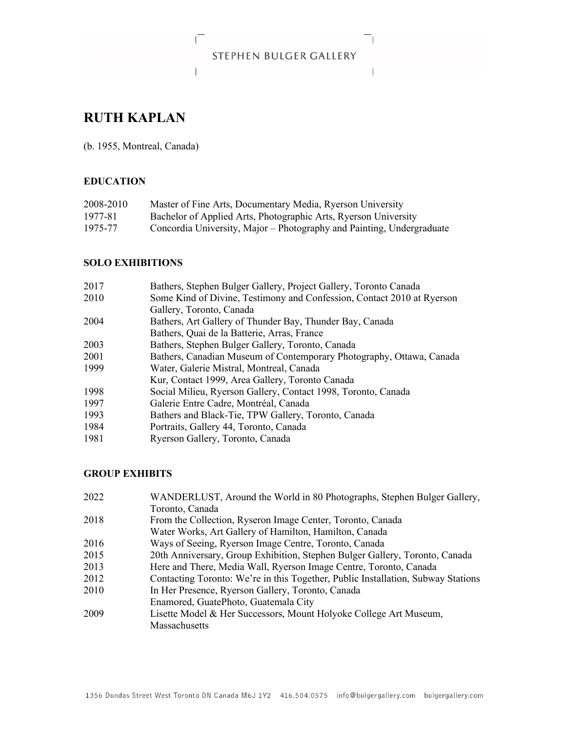# STEPHEN BULGER GALLERY

 $\mathbf{1}$ 

 $\mathbf{L}_{\text{max}}$ 

# **RUTH KAPLAN**

(b. 1955, Montreal, Canada)

 $\Gamma$ 

### **EDUCATION**

| 2008-2010 | Master of Fine Arts, Documentary Media, Ryerson University            |
|-----------|-----------------------------------------------------------------------|
| 1977-81   | Bachelor of Applied Arts, Photographic Arts, Ryerson University       |
| 1975-77   | Concordia University, Major - Photography and Painting, Undergraduate |

#### **SOLO EXHIBITIONS**

| 2017 | Bathers, Stephen Bulger Gallery, Project Gallery, Toronto Canada       |
|------|------------------------------------------------------------------------|
| 2010 | Some Kind of Divine, Testimony and Confession, Contact 2010 at Ryerson |
|      | Gallery, Toronto, Canada                                               |
| 2004 | Bathers, Art Gallery of Thunder Bay, Thunder Bay, Canada               |
|      | Bathers, Quai de la Batterie, Arras, France                            |
| 2003 | Bathers, Stephen Bulger Gallery, Toronto, Canada                       |
| 2001 | Bathers, Canadian Museum of Contemporary Photography, Ottawa, Canada   |
| 1999 | Water, Galerie Mistral, Montreal, Canada                               |
|      | Kur, Contact 1999, Area Gallery, Toronto Canada                        |
| 1998 | Social Milieu, Ryerson Gallery, Contact 1998, Toronto, Canada          |
| 1997 | Galerie Entre Cadre, Montréal, Canada                                  |
| 1993 | Bathers and Black-Tie, TPW Gallery, Toronto, Canada                    |
| 1984 | Portraits, Gallery 44, Toronto, Canada                                 |
| 1981 | Ryerson Gallery, Toronto, Canada                                       |

## **GROUP EXHIBITS**

| 2022 | WANDERLUST, Around the World in 80 Photographs, Stephen Bulger Gallery,          |
|------|----------------------------------------------------------------------------------|
|      | Toronto, Canada                                                                  |
| 2018 | From the Collection, Ryseron Image Center, Toronto, Canada                       |
|      | Water Works, Art Gallery of Hamilton, Hamilton, Canada                           |
| 2016 | Ways of Seeing, Ryerson Image Centre, Toronto, Canada                            |
| 2015 | 20th Anniversary, Group Exhibition, Stephen Bulger Gallery, Toronto, Canada      |
| 2013 | Here and There, Media Wall, Ryerson Image Centre, Toronto, Canada                |
| 2012 | Contacting Toronto: We're in this Together, Public Installation, Subway Stations |
| 2010 | In Her Presence, Ryerson Gallery, Toronto, Canada                                |
|      | Enamored, GuatePhoto, Guatemala City                                             |
| 2009 | Lisette Model & Her Successors, Mount Holyoke College Art Museum,                |
|      | <b>Massachusetts</b>                                                             |
|      |                                                                                  |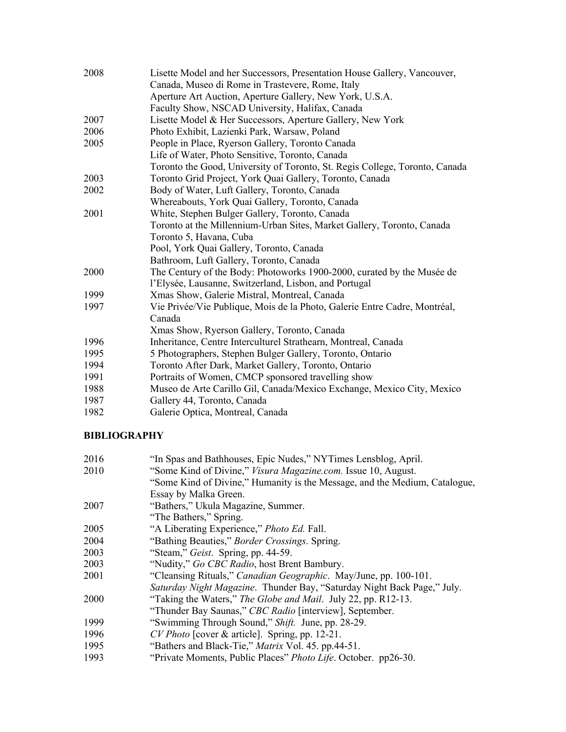| 2008 | Lisette Model and her Successors, Presentation House Gallery, Vancouver,    |
|------|-----------------------------------------------------------------------------|
|      | Canada, Museo di Rome in Trastevere, Rome, Italy                            |
|      | Aperture Art Auction, Aperture Gallery, New York, U.S.A.                    |
|      | Faculty Show, NSCAD University, Halifax, Canada                             |
| 2007 | Lisette Model & Her Successors, Aperture Gallery, New York                  |
| 2006 | Photo Exhibit, Lazienki Park, Warsaw, Poland                                |
| 2005 | People in Place, Ryerson Gallery, Toronto Canada                            |
|      | Life of Water, Photo Sensitive, Toronto, Canada                             |
|      | Toronto the Good, University of Toronto, St. Regis College, Toronto, Canada |
| 2003 | Toronto Grid Project, York Quai Gallery, Toronto, Canada                    |
| 2002 | Body of Water, Luft Gallery, Toronto, Canada                                |
|      | Whereabouts, York Quai Gallery, Toronto, Canada                             |
| 2001 | White, Stephen Bulger Gallery, Toronto, Canada                              |
|      | Toronto at the Millennium-Urban Sites, Market Gallery, Toronto, Canada      |
|      | Toronto 5, Havana, Cuba                                                     |
|      | Pool, York Quai Gallery, Toronto, Canada                                    |
|      | Bathroom, Luft Gallery, Toronto, Canada                                     |
| 2000 | The Century of the Body: Photoworks 1900-2000, curated by the Musée de      |
|      | l'Elysée, Lausanne, Switzerland, Lisbon, and Portugal                       |
| 1999 | Xmas Show, Galerie Mistral, Montreal, Canada                                |
| 1997 | Vie Privée/Vie Publique, Mois de la Photo, Galerie Entre Cadre, Montréal,   |
|      | Canada                                                                      |
|      | Xmas Show, Ryerson Gallery, Toronto, Canada                                 |
| 1996 | Inheritance, Centre Interculturel Strathearn, Montreal, Canada              |
| 1995 | 5 Photographers, Stephen Bulger Gallery, Toronto, Ontario                   |
| 1994 | Toronto After Dark, Market Gallery, Toronto, Ontario                        |
| 1991 | Portraits of Women, CMCP sponsored travelling show                          |
| 1988 | Museo de Arte Carillo Gil, Canada/Mexico Exchange, Mexico City, Mexico      |
| 1987 | Gallery 44, Toronto, Canada                                                 |
| 1982 | Galerie Optica, Montreal, Canada                                            |

### **BIBLIOGRAPHY**

| 2016 | "In Spas and Bathhouses, Epic Nudes," NYTimes Lensblog, April.             |
|------|----------------------------------------------------------------------------|
| 2010 | "Some Kind of Divine," Visura Magazine.com. Issue 10, August.              |
|      | "Some Kind of Divine," Humanity is the Message, and the Medium, Catalogue, |
|      | Essay by Malka Green.                                                      |
| 2007 | "Bathers," Ukula Magazine, Summer.                                         |
|      | "The Bathers," Spring.                                                     |
| 2005 | "A Liberating Experience," Photo Ed. Fall.                                 |
| 2004 | "Bathing Beauties," <i>Border Crossings</i> . Spring.                      |
| 2003 | "Steam," Geist. Spring, pp. 44-59.                                         |
| 2003 | "Nudity," Go CBC Radio, host Brent Bambury.                                |
| 2001 | "Cleansing Rituals," Canadian Geographic. May/June, pp. 100-101.           |
|      | Saturday Night Magazine. Thunder Bay, "Saturday Night Back Page," July.    |
| 2000 | "Taking the Waters," The Globe and Mail. July 22, pp. R12-13.              |
|      | "Thunder Bay Saunas," CBC Radio [interview], September.                    |
| 1999 | "Swimming Through Sound," Shift. June, pp. 28-29.                          |
| 1996 | CV Photo [cover & article]. Spring, pp. 12-21.                             |
| 1995 | "Bathers and Black-Tie," Matrix Vol. 45. pp.44-51.                         |
| 1993 | "Private Moments, Public Places" Photo Life. October. pp26-30.             |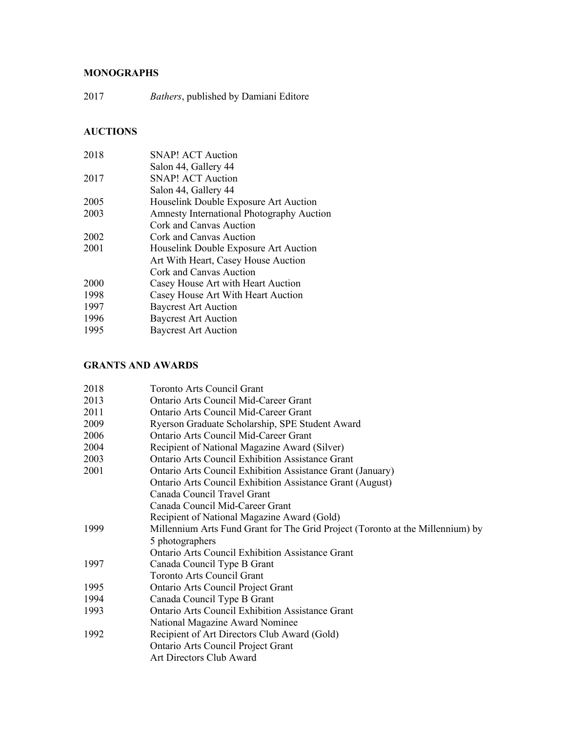# **MONOGRAPHS**

2017 *Bathers*, published by Damiani Editore

# **AUCTIONS**

| 2018 | <b>SNAP! ACT Auction</b>                         |
|------|--------------------------------------------------|
|      | Salon 44, Gallery 44                             |
| 2017 | <b>SNAP! ACT Auction</b>                         |
|      | Salon 44, Gallery 44                             |
| 2005 | Houselink Double Exposure Art Auction            |
| 2003 | <b>Amnesty International Photography Auction</b> |
|      | Cork and Canvas Auction                          |
| 2002 | Cork and Canvas Auction                          |
| 2001 | Houselink Double Exposure Art Auction            |
|      | Art With Heart, Casey House Auction              |
|      | Cork and Canvas Auction                          |
| 2000 | Casey House Art with Heart Auction               |
| 1998 | Casey House Art With Heart Auction               |
| 1997 | <b>Baycrest Art Auction</b>                      |
| 1996 | <b>Baycrest Art Auction</b>                      |
| 1995 | <b>Baycrest Art Auction</b>                      |
|      |                                                  |

# **GRANTS AND AWARDS**

| 2018 | Toronto Arts Council Grant                                                     |
|------|--------------------------------------------------------------------------------|
| 2013 | Ontario Arts Council Mid-Career Grant                                          |
| 2011 | Ontario Arts Council Mid-Career Grant                                          |
| 2009 | Ryerson Graduate Scholarship, SPE Student Award                                |
| 2006 | <b>Ontario Arts Council Mid-Career Grant</b>                                   |
| 2004 | Recipient of National Magazine Award (Silver)                                  |
| 2003 | <b>Ontario Arts Council Exhibition Assistance Grant</b>                        |
| 2001 | <b>Ontario Arts Council Exhibition Assistance Grant (January)</b>              |
|      | <b>Ontario Arts Council Exhibition Assistance Grant (August)</b>               |
|      | Canada Council Travel Grant                                                    |
|      | Canada Council Mid-Career Grant                                                |
|      | Recipient of National Magazine Award (Gold)                                    |
| 1999 | Millennium Arts Fund Grant for The Grid Project (Toronto at the Millennium) by |
|      | 5 photographers                                                                |
|      | <b>Ontario Arts Council Exhibition Assistance Grant</b>                        |
| 1997 | Canada Council Type B Grant                                                    |
|      | <b>Toronto Arts Council Grant</b>                                              |
| 1995 | Ontario Arts Council Project Grant                                             |
| 1994 | Canada Council Type B Grant                                                    |
| 1993 | <b>Ontario Arts Council Exhibition Assistance Grant</b>                        |
|      | National Magazine Award Nominee                                                |
| 1992 | Recipient of Art Directors Club Award (Gold)                                   |
|      | <b>Ontario Arts Council Project Grant</b>                                      |
|      | Art Directors Club Award                                                       |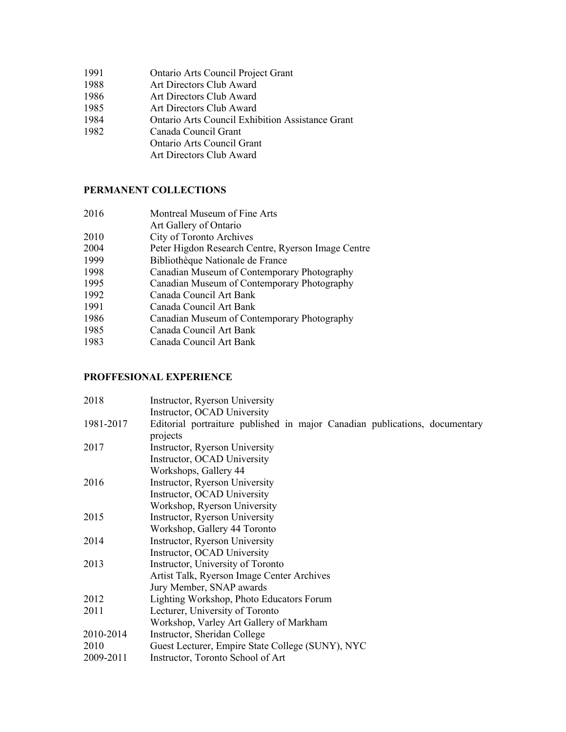- 1991 Ontario Arts Council Project Grant
- 1988 Art Directors Club Award
- 1986 Art Directors Club Award
- 1985 Art Directors Club Award
- 1984 Ontario Arts Council Exhibition Assistance Grant
- 1982 Canada Council Grant
	- Ontario Arts Council Grant
		- Art Directors Club Award

#### **PERMANENT COLLECTIONS**

 Montreal Museum of Fine Arts Art Gallery of Ontario City of Toronto Archives 2004 Peter Higdon Research Centre, Ryerson Image Centre<br>1999 Bibliothèque Nationale de France Bibliothèque Nationale de France Canadian Museum of Contemporary Photography Canadian Museum of Contemporary Photography Canada Council Art Bank Canada Council Art Bank Canadian Museum of Contemporary Photography Canada Council Art Bank Canada Council Art Bank

### **PROFFESIONAL EXPERIENCE**

| 2018      | Instructor, Ryerson University                                              |
|-----------|-----------------------------------------------------------------------------|
|           | Instructor, OCAD University                                                 |
| 1981-2017 | Editorial portraiture published in major Canadian publications, documentary |
|           | projects                                                                    |
| 2017      | Instructor, Ryerson University                                              |
|           | Instructor, OCAD University                                                 |
|           | Workshops, Gallery 44                                                       |
| 2016      | Instructor, Ryerson University                                              |
|           | Instructor, OCAD University                                                 |
|           | Workshop, Ryerson University                                                |
| 2015      | Instructor, Ryerson University                                              |
|           | Workshop, Gallery 44 Toronto                                                |
| 2014      | Instructor, Ryerson University                                              |
|           | Instructor, OCAD University                                                 |
| 2013      | Instructor, University of Toronto                                           |
|           | Artist Talk, Ryerson Image Center Archives                                  |
|           | Jury Member, SNAP awards                                                    |
| 2012      | Lighting Workshop, Photo Educators Forum                                    |
| 2011      | Lecturer, University of Toronto                                             |
|           | Workshop, Varley Art Gallery of Markham                                     |
| 2010-2014 | Instructor, Sheridan College                                                |
| 2010      | Guest Lecturer, Empire State College (SUNY), NYC                            |
| 2009-2011 | Instructor, Toronto School of Art                                           |